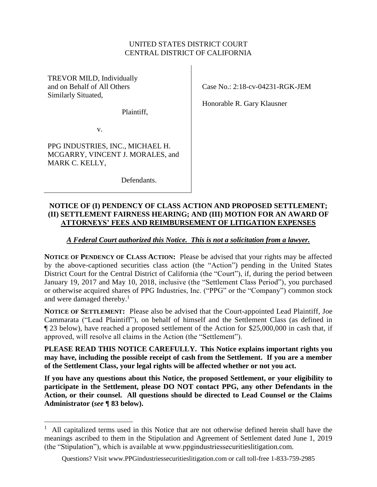### UNITED STATES DISTRICT COURT CENTRAL DISTRICT OF CALIFORNIA

TREVOR MILD, Individually and on Behalf of All Others Similarly Situated,

Plaintiff,

v.

 $\overline{a}$ 

PPG INDUSTRIES, INC., MICHAEL H. MCGARRY, VINCENT J. MORALES, and MARK C. KELLY,

Defendants.

Case No.: 2:18-cv-04231-RGK-JEM

Honorable R. Gary Klausner

### **NOTICE OF (I) PENDENCY OF CLASS ACTION AND PROPOSED SETTLEMENT; (II) SETTLEMENT FAIRNESS HEARING; AND (III) MOTION FOR AN AWARD OF ATTORNEYS' FEES AND REIMBURSEMENT OF LITIGATION EXPENSES**

*A Federal Court authorized this Notice. This is not a solicitation from a lawyer.*

**NOTICE OF PENDENCY OF CLASS ACTION:** Please be advised that your rights may be affected by the above-captioned securities class action (the "Action") pending in the United States District Court for the Central District of California (the "Court"), if, during the period between January 19, 2017 and May 10, 2018, inclusive (the "Settlement Class Period"), you purchased or otherwise acquired shares of PPG Industries, Inc. ("PPG" or the "Company") common stock and were damaged thereby. 1

**NOTICE OF SETTLEMENT:** Please also be advised that the Court-appointed Lead Plaintiff, Joe Cammarata ("Lead Plaintiff"), on behalf of himself and the Settlement Class (as defined in ¶ [23](#page-6-0) below), have reached a proposed settlement of the Action for \$25,000,000 in cash that, if approved, will resolve all claims in the Action (the "Settlement").

**PLEASE READ THIS NOTICE CAREFULLY. This Notice explains important rights you may have, including the possible receipt of cash from the Settlement. If you are a member of the Settlement Class, your legal rights will be affected whether or not you act.**

**If you have any questions about this Notice, the proposed Settlement, or your eligibility to participate in the Settlement, please DO NOT contact PPG, any other Defendants in the Action, or their counsel. All questions should be directed to Lead Counsel or the Claims Administrator (***see* **¶ [83](#page-20-0) below).**

<sup>&</sup>lt;sup>1</sup> All capitalized terms used in this Notice that are not otherwise defined herein shall have the meanings ascribed to them in the Stipulation and Agreement of Settlement dated June 1, 2019 (the "Stipulation"), which is available at www.ppgindustriessecuritieslitigation.com.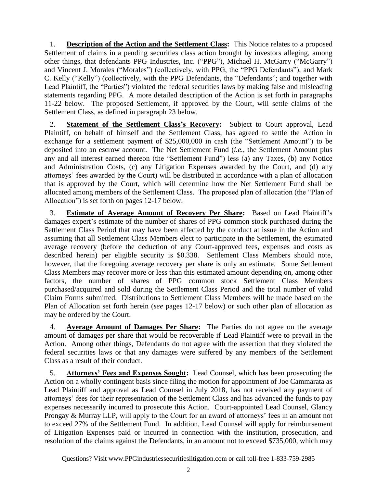1. **Description of the Action and the Settlement Class:** This Notice relates to a proposed Settlement of claims in a pending securities class action brought by investors alleging, among other things, that defendants PPG Industries, Inc. ("PPG"), Michael H. McGarry ("McGarry") and Vincent J. Morales ("Morales") (collectively, with PPG, the "PPG Defendants"), and Mark C. Kelly ("Kelly") (collectively, with the PPG Defendants, the "Defendants"; and together with Lead Plaintiff, the "Parties") violated the federal securities laws by making false and misleading statements regarding PPG. A more detailed description of the Action is set forth in paragraphs [11](#page-5-0)[-22](#page-6-1) below. The proposed Settlement, if approved by the Court, will settle claims of the Settlement Class, as defined in paragraph [23](#page-6-0) below.

2. **Statement of the Settlement Class's Recovery:** Subject to Court approval, Lead Plaintiff, on behalf of himself and the Settlement Class, has agreed to settle the Action in exchange for a settlement payment of \$25,000,000 in cash (the "Settlement Amount") to be deposited into an escrow account. The Net Settlement Fund (*i.e.*, the Settlement Amount plus any and all interest earned thereon (the "Settlement Fund") less (a) any Taxes, (b) any Notice and Administration Costs, (c) any Litigation Expenses awarded by the Court, and (d) any attorneys' fees awarded by the Court) will be distributed in accordance with a plan of allocation that is approved by the Court, which will determine how the Net Settlement Fund shall be allocated among members of the Settlement Class. The proposed plan of allocation (the "Plan of Allocation") is set forth on pages 12-17 below.

3. **Estimate of Average Amount of Recovery Per Share:** Based on Lead Plaintiff's damages expert's estimate of the number of shares of PPG common stock purchased during the Settlement Class Period that may have been affected by the conduct at issue in the Action and assuming that all Settlement Class Members elect to participate in the Settlement, the estimated average recovery (before the deduction of any Court-approved fees, expenses and costs as described herein) per eligible security is \$0.338. Settlement Class Members should note, however, that the foregoing average recovery per share is only an estimate. Some Settlement Class Members may recover more or less than this estimated amount depending on, among other factors, the number of shares of PPG common stock Settlement Class Members purchased/acquired and sold during the Settlement Class Period and the total number of valid Claim Forms submitted. Distributions to Settlement Class Members will be made based on the Plan of Allocation set forth herein (*see* pages 12-17 below) or such other plan of allocation as may be ordered by the Court.

4. **Average Amount of Damages Per Share:** The Parties do not agree on the average amount of damages per share that would be recoverable if Lead Plaintiff were to prevail in the Action. Among other things, Defendants do not agree with the assertion that they violated the federal securities laws or that any damages were suffered by any members of the Settlement Class as a result of their conduct.

5. **Attorneys' Fees and Expenses Sought:** Lead Counsel, which has been prosecuting the Action on a wholly contingent basis since filing the motion for appointment of Joe Cammarata as Lead Plaintiff and approval as Lead Counsel in July 2018, has not received any payment of attorneys' fees for their representation of the Settlement Class and has advanced the funds to pay expenses necessarily incurred to prosecute this Action. Court-appointed Lead Counsel, Glancy Prongay & Murray LLP, will apply to the Court for an award of attorneys' fees in an amount not to exceed 27% of the Settlement Fund. In addition, Lead Counsel will apply for reimbursement of Litigation Expenses paid or incurred in connection with the institution, prosecution, and resolution of the claims against the Defendants, in an amount not to exceed \$735,000, which may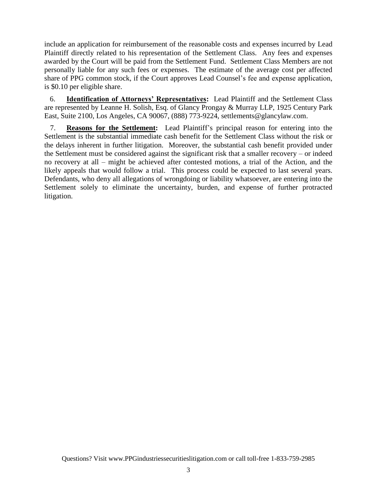include an application for reimbursement of the reasonable costs and expenses incurred by Lead Plaintiff directly related to his representation of the Settlement Class. Any fees and expenses awarded by the Court will be paid from the Settlement Fund. Settlement Class Members are not personally liable for any such fees or expenses. The estimate of the average cost per affected share of PPG common stock, if the Court approves Lead Counsel's fee and expense application, is \$0.10 per eligible share.

6. **Identification of Attorneys' Representatives:** Lead Plaintiff and the Settlement Class are represented by Leanne H. Solish, Esq. of Glancy Prongay & Murray LLP, 1925 Century Park East, Suite 2100, Los Angeles, CA 90067, (888) 773-9224, settlements@glancylaw.com.

7. **Reasons for the Settlement:** Lead Plaintiff's principal reason for entering into the Settlement is the substantial immediate cash benefit for the Settlement Class without the risk or the delays inherent in further litigation. Moreover, the substantial cash benefit provided under the Settlement must be considered against the significant risk that a smaller recovery – or indeed no recovery at all – might be achieved after contested motions, a trial of the Action, and the likely appeals that would follow a trial. This process could be expected to last several years. Defendants, who deny all allegations of wrongdoing or liability whatsoever, are entering into the Settlement solely to eliminate the uncertainty, burden, and expense of further protracted litigation.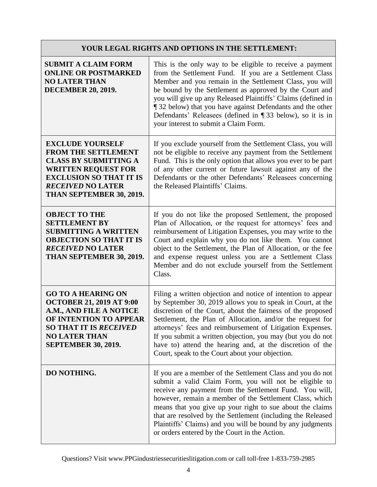# **YOUR LEGAL RIGHTS AND OPTIONS IN THE SETTLEMENT:**

| <b>SUBMIT A CLAIM FORM</b><br><b>ONLINE OR POSTMARKED</b><br><b>NO LATER THAN</b><br><b>DECEMBER 20, 2019.</b>                                                                                                | This is the only way to be eligible to receive a payment<br>from the Settlement Fund. If you are a Settlement Class<br>Member and you remain in the Settlement Class, you will<br>be bound by the Settlement as approved by the Court and<br>you will give up any Released Plaintiffs' Claims (defined in<br>132 below) that you have against Defendants and the other<br>Defendants' Releasees (defined in $\P$ 33 below), so it is in<br>your interest to submit a Claim Form.                   |
|---------------------------------------------------------------------------------------------------------------------------------------------------------------------------------------------------------------|----------------------------------------------------------------------------------------------------------------------------------------------------------------------------------------------------------------------------------------------------------------------------------------------------------------------------------------------------------------------------------------------------------------------------------------------------------------------------------------------------|
| <b>EXCLUDE YOURSELF</b><br><b>FROM THE SETTLEMENT</b><br><b>CLASS BY SUBMITTING A</b><br><b>WRITTEN REQUEST FOR</b><br><b>EXCLUSION SO THAT IT IS</b><br><b>RECEIVED NO LATER</b><br>THAN SEPTEMBER 30, 2019. | If you exclude yourself from the Settlement Class, you will<br>not be eligible to receive any payment from the Settlement<br>Fund. This is the only option that allows you ever to be part<br>of any other current or future lawsuit against any of the<br>Defendants or the other Defendants' Releasees concerning<br>the Released Plaintiffs' Claims.                                                                                                                                            |
| <b>OBJECT TO THE</b><br><b>SETTLEMENT BY</b><br><b>SUBMITTING A WRITTEN</b><br><b>OBJECTION SO THAT IT IS</b><br><b>RECEIVED NO LATER</b><br>THAN SEPTEMBER 30, 2019.                                         | If you do not like the proposed Settlement, the proposed<br>Plan of Allocation, or the request for attorneys' fees and<br>reimbursement of Litigation Expenses, you may write to the<br>Court and explain why you do not like them. You cannot<br>object to the Settlement, the Plan of Allocation, or the fee<br>and expense request unless you are a Settlement Class<br>Member and do not exclude yourself from the Settlement<br>Class.                                                        |
| <b>GO TO A HEARING ON</b><br><b>OCTOBER 21, 2019 AT 9:00</b><br>A.M., AND FILE A NOTICE<br>OF INTENTION TO APPEAR<br><b>SO THAT IT IS RECEIVED</b><br><b>NO LATER THAN</b><br><b>SEPTEMBER 30, 2019.</b>      | Filing a written objection and notice of intention to appear<br>by September 30, 2019 allows you to speak in Court, at the<br>discretion of the Court, about the fairness of the proposed<br>Settlement, the Plan of Allocation, and/or the request for<br>attorneys' fees and reimbursement of Litigation Expenses.<br>If you submit a written objection, you may (but you do not<br>have to) attend the hearing and, at the discretion of the<br>Court, speak to the Court about your objection. |
| DO NOTHING.                                                                                                                                                                                                   | If you are a member of the Settlement Class and you do not<br>submit a valid Claim Form, you will not be eligible to<br>receive any payment from the Settlement Fund. You will,<br>however, remain a member of the Settlement Class, which<br>means that you give up your right to sue about the claims<br>that are resolved by the Settlement (including the Released<br>Plaintiffs' Claims) and you will be bound by any judgments<br>or orders entered by the Court in the Action.              |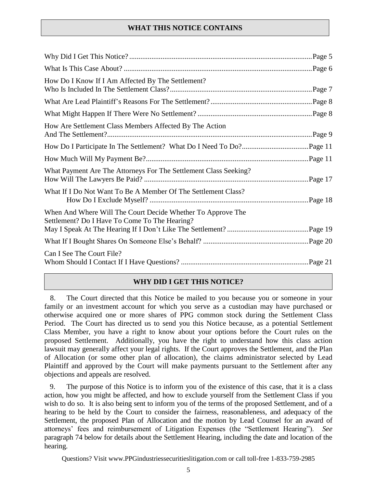# **WHAT THIS NOTICE CONTAINS**

| How Do I Know If I Am Affected By The Settlement?                                                            |  |
|--------------------------------------------------------------------------------------------------------------|--|
|                                                                                                              |  |
|                                                                                                              |  |
| How Are Settlement Class Members Affected By The Action                                                      |  |
|                                                                                                              |  |
|                                                                                                              |  |
| What Payment Are The Attorneys For The Settlement Class Seeking?                                             |  |
| What If I Do Not Want To Be A Member Of The Settlement Class?                                                |  |
| When And Where Will The Court Decide Whether To Approve The<br>Settlement? Do I Have To Come To The Hearing? |  |
|                                                                                                              |  |
| Can I See The Court File?                                                                                    |  |

# **WHY DID I GET THIS NOTICE?**

8. The Court directed that this Notice be mailed to you because you or someone in your family or an investment account for which you serve as a custodian may have purchased or otherwise acquired one or more shares of PPG common stock during the Settlement Class Period. The Court has directed us to send you this Notice because, as a potential Settlement Class Member, you have a right to know about your options before the Court rules on the proposed Settlement. Additionally, you have the right to understand how this class action lawsuit may generally affect your legal rights. If the Court approves the Settlement, and the Plan of Allocation (or some other plan of allocation), the claims administrator selected by Lead Plaintiff and approved by the Court will make payments pursuant to the Settlement after any objections and appeals are resolved.

9. The purpose of this Notice is to inform you of the existence of this case, that it is a class action, how you might be affected, and how to exclude yourself from the Settlement Class if you wish to do so. It is also being sent to inform you of the terms of the proposed Settlement, and of a hearing to be held by the Court to consider the fairness, reasonableness, and adequacy of the Settlement, the proposed Plan of Allocation and the motion by Lead Counsel for an award of attorneys' fees and reimbursement of Litigation Expenses (the "Settlement Hearing"). *See* paragraph [74](#page-18-0) below for details about the Settlement Hearing, including the date and location of the hearing.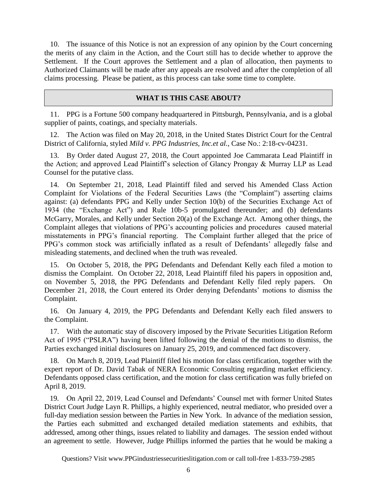10. The issuance of this Notice is not an expression of any opinion by the Court concerning the merits of any claim in the Action, and the Court still has to decide whether to approve the Settlement. If the Court approves the Settlement and a plan of allocation, then payments to Authorized Claimants will be made after any appeals are resolved and after the completion of all claims processing. Please be patient, as this process can take some time to complete.

#### **WHAT IS THIS CASE ABOUT?**

<span id="page-5-0"></span>11. PPG is a Fortune 500 company headquartered in Pittsburgh, Pennsylvania, and is a global supplier of paints, coatings, and specialty materials.

12. The Action was filed on May 20, 2018, in the United States District Court for the Central District of California, styled *Mild v. PPG Industries, Inc.et al.*, Case No.: 2:18-cv-04231.

13. By Order dated August 27, 2018, the Court appointed Joe Cammarata Lead Plaintiff in the Action; and approved Lead Plaintiff's selection of Glancy Prongay & Murray LLP as Lead Counsel for the putative class.

14. On September 21, 2018, Lead Plaintiff filed and served his Amended Class Action Complaint for Violations of the Federal Securities Laws (the "Complaint") asserting claims against: (a) defendants PPG and Kelly under Section 10(b) of the Securities Exchange Act of 1934 (the "Exchange Act") and Rule 10b-5 promulgated thereunder; and (b) defendants McGarry, Morales, and Kelly under Section 20(a) of the Exchange Act. Among other things, the Complaint alleges that violations of PPG's accounting policies and procedures caused material misstatements in PPG's financial reporting. The Complaint further alleged that the price of PPG's common stock was artificially inflated as a result of Defendants' allegedly false and misleading statements, and declined when the truth was revealed.

15. On October 5, 2018, the PPG Defendants and Defendant Kelly each filed a motion to dismiss the Complaint. On October 22, 2018, Lead Plaintiff filed his papers in opposition and, on November 5, 2018, the PPG Defendants and Defendant Kelly filed reply papers. On December 21, 2018, the Court entered its Order denying Defendants' motions to dismiss the Complaint.

16. On January 4, 2019, the PPG Defendants and Defendant Kelly each filed answers to the Complaint.

17. With the automatic stay of discovery imposed by the Private Securities Litigation Reform Act of 1995 ("PSLRA") having been lifted following the denial of the motions to dismiss, the Parties exchanged initial disclosures on January 25, 2019, and commenced fact discovery.

18. On March 8, 2019, Lead Plaintiff filed his motion for class certification, together with the expert report of Dr. David Tabak of NERA Economic Consulting regarding market efficiency. Defendants opposed class certification, and the motion for class certification was fully briefed on April 8, 2019.

19. On April 22, 2019, Lead Counsel and Defendants' Counsel met with former United States District Court Judge Layn R. Phillips, a highly experienced, neutral mediator, who presided over a full-day mediation session between the Parties in New York. In advance of the mediation session, the Parties each submitted and exchanged detailed mediation statements and exhibits, that addressed, among other things, issues related to liability and damages. The session ended without an agreement to settle. However, Judge Phillips informed the parties that he would be making a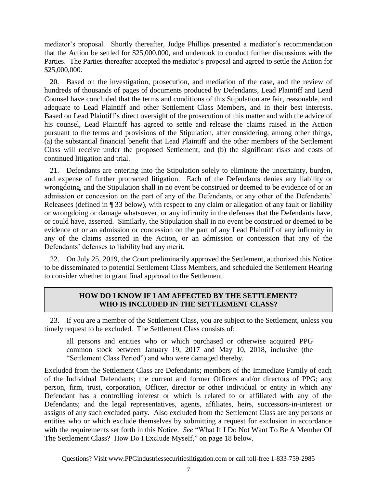mediator's proposal. Shortly thereafter, Judge Phillips presented a mediator's recommendation that the Action be settled for \$25,000,000, and undertook to conduct further discussions with the Parties. The Parties thereafter accepted the mediator's proposal and agreed to settle the Action for \$25,000,000.

20. Based on the investigation, prosecution, and mediation of the case, and the review of hundreds of thousands of pages of documents produced by Defendants, Lead Plaintiff and Lead Counsel have concluded that the terms and conditions of this Stipulation are fair, reasonable, and adequate to Lead Plaintiff and other Settlement Class Members, and in their best interests. Based on Lead Plaintiff's direct oversight of the prosecution of this matter and with the advice of his counsel, Lead Plaintiff has agreed to settle and release the claims raised in the Action pursuant to the terms and provisions of the Stipulation, after considering, among other things, (a) the substantial financial benefit that Lead Plaintiff and the other members of the Settlement Class will receive under the proposed Settlement; and (b) the significant risks and costs of continued litigation and trial.

21. Defendants are entering into the Stipulation solely to eliminate the uncertainty, burden, and expense of further protracted litigation. Each of the Defendants denies any liability or wrongdoing, and the Stipulation shall in no event be construed or deemed to be evidence of or an admission or concession on the part of any of the Defendants, or any other of the Defendants' Releasees (defined in ¶ [33](#page-8-1) below), with respect to any claim or allegation of any fault or liability or wrongdoing or damage whatsoever, or any infirmity in the defenses that the Defendants have, or could have, asserted. Similarly, the Stipulation shall in no event be construed or deemed to be evidence of or an admission or concession on the part of any Lead Plaintiff of any infirmity in any of the claims asserted in the Action, or an admission or concession that any of the Defendants' defenses to liability had any merit.

<span id="page-6-1"></span>22. On July 25, 2019, the Court preliminarily approved the Settlement, authorized this Notice to be disseminated to potential Settlement Class Members, and scheduled the Settlement Hearing to consider whether to grant final approval to the Settlement.

# **HOW DO I KNOW IF I AM AFFECTED BY THE SETTLEMENT? WHO IS INCLUDED IN THE SETTLEMENT CLASS?**

<span id="page-6-0"></span>23. If you are a member of the Settlement Class, you are subject to the Settlement, unless you timely request to be excluded. The Settlement Class consists of:

all persons and entities who or which purchased or otherwise acquired PPG common stock between January 19, 2017 and May 10, 2018, inclusive (the "Settlement Class Period") and who were damaged thereby.

Excluded from the Settlement Class are Defendants; members of the Immediate Family of each of the Individual Defendants; the current and former Officers and/or directors of PPG; any person, firm, trust, corporation, Officer, director or other individual or entity in which any Defendant has a controlling interest or which is related to or affiliated with any of the Defendants; and the legal representatives, agents, affiliates, heirs, successors-in-interest or assigns of any such excluded party. Also excluded from the Settlement Class are any persons or entities who or which exclude themselves by submitting a request for exclusion in accordance with the requirements set forth in this Notice. *See* "What If I Do Not Want To Be A Member Of The Settlement Class? How Do I Exclude Myself," on page 18 below.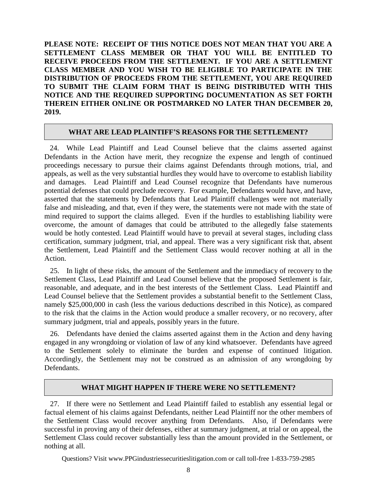**PLEASE NOTE: RECEIPT OF THIS NOTICE DOES NOT MEAN THAT YOU ARE A SETTLEMENT CLASS MEMBER OR THAT YOU WILL BE ENTITLED TO RECEIVE PROCEEDS FROM THE SETTLEMENT. IF YOU ARE A SETTLEMENT CLASS MEMBER AND YOU WISH TO BE ELIGIBLE TO PARTICIPATE IN THE DISTRIBUTION OF PROCEEDS FROM THE SETTLEMENT, YOU ARE REQUIRED TO SUBMIT THE CLAIM FORM THAT IS BEING DISTRIBUTED WITH THIS NOTICE AND THE REQUIRED SUPPORTING DOCUMENTATION AS SET FORTH THEREIN EITHER ONLINE OR POSTMARKED NO LATER THAN DECEMBER 20, 2019.**

### **WHAT ARE LEAD PLAINTIFF'S REASONS FOR THE SETTLEMENT?**

24. While Lead Plaintiff and Lead Counsel believe that the claims asserted against Defendants in the Action have merit, they recognize the expense and length of continued proceedings necessary to pursue their claims against Defendants through motions, trial, and appeals, as well as the very substantial hurdles they would have to overcome to establish liability and damages. Lead Plaintiff and Lead Counsel recognize that Defendants have numerous potential defenses that could preclude recovery. For example, Defendants would have, and have, asserted that the statements by Defendants that Lead Plaintiff challenges were not materially false and misleading, and that, even if they were, the statements were not made with the state of mind required to support the claims alleged. Even if the hurdles to establishing liability were overcome, the amount of damages that could be attributed to the allegedly false statements would be hotly contested. Lead Plaintiff would have to prevail at several stages, including class certification, summary judgment, trial, and appeal. There was a very significant risk that, absent the Settlement, Lead Plaintiff and the Settlement Class would recover nothing at all in the Action.

25. In light of these risks, the amount of the Settlement and the immediacy of recovery to the Settlement Class, Lead Plaintiff and Lead Counsel believe that the proposed Settlement is fair, reasonable, and adequate, and in the best interests of the Settlement Class. Lead Plaintiff and Lead Counsel believe that the Settlement provides a substantial benefit to the Settlement Class, namely \$25,000,000 in cash (less the various deductions described in this Notice), as compared to the risk that the claims in the Action would produce a smaller recovery, or no recovery, after summary judgment, trial and appeals, possibly years in the future.

26. Defendants have denied the claims asserted against them in the Action and deny having engaged in any wrongdoing or violation of law of any kind whatsoever. Defendants have agreed to the Settlement solely to eliminate the burden and expense of continued litigation. Accordingly, the Settlement may not be construed as an admission of any wrongdoing by Defendants.

#### **WHAT MIGHT HAPPEN IF THERE WERE NO SETTLEMENT?**

27. If there were no Settlement and Lead Plaintiff failed to establish any essential legal or factual element of his claims against Defendants, neither Lead Plaintiff nor the other members of the Settlement Class would recover anything from Defendants. Also, if Defendants were successful in proving any of their defenses, either at summary judgment, at trial or on appeal, the Settlement Class could recover substantially less than the amount provided in the Settlement, or nothing at all.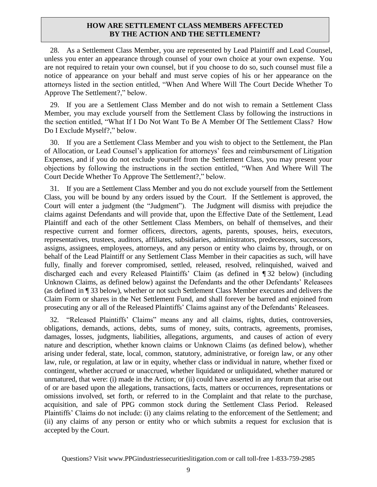#### **HOW ARE SETTLEMENT CLASS MEMBERS AFFECTED BY THE ACTION AND THE SETTLEMENT?**

<span id="page-8-1"></span>28. As a Settlement Class Member, you are represented by Lead Plaintiff and Lead Counsel, unless you enter an appearance through counsel of your own choice at your own expense. You are not required to retain your own counsel, but if you choose to do so, such counsel must file a notice of appearance on your behalf and must serve copies of his or her appearance on the attorneys listed in the section entitled, "When And Where Will The Court Decide Whether To Approve The Settlement?," below.

29. If you are a Settlement Class Member and do not wish to remain a Settlement Class Member, you may exclude yourself from the Settlement Class by following the instructions in the section entitled, "What If I Do Not Want To Be A Member Of The Settlement Class? How Do I Exclude Myself?," below.

30. If you are a Settlement Class Member and you wish to object to the Settlement, the Plan of Allocation, or Lead Counsel's application for attorneys' fees and reimbursement of Litigation Expenses, and if you do not exclude yourself from the Settlement Class, you may present your objections by following the instructions in the section entitled, "When And Where Will The Court Decide Whether To Approve The Settlement?," below.

31. If you are a Settlement Class Member and you do not exclude yourself from the Settlement Class, you will be bound by any orders issued by the Court. If the Settlement is approved, the Court will enter a judgment (the "Judgment"). The Judgment will dismiss with prejudice the claims against Defendants and will provide that, upon the Effective Date of the Settlement, Lead Plaintiff and each of the other Settlement Class Members, on behalf of themselves, and their respective current and former officers, directors, agents, parents, spouses, heirs, executors, representatives, trustees, auditors, affiliates, subsidiaries, administrators, predecessors, successors, assigns, assignees, employees, attorneys, and any person or entity who claims by, through, or on behalf of the Lead Plaintiff or any Settlement Class Member in their capacities as such, will have fully, finally and forever compromised, settled, released, resolved, relinquished, waived and discharged each and every Released Plaintiffs' Claim (as defined in ¶ [32](#page-8-0) below) (including Unknown Claims, as defined below) against the Defendants and the other Defendants' Releasees (as defined in ¶ [33](#page-8-1) below), whether or not such Settlement Class Member executes and delivers the Claim Form or shares in the Net Settlement Fund, and shall forever be barred and enjoined from prosecuting any or all of the Released Plaintiffs' Claims against any of the Defendants' Releasees.

<span id="page-8-0"></span>32. "Released Plaintiffs' Claims" means any and all claims, rights, duties, controversies, obligations, demands, actions, debts, sums of money, suits, contracts, agreements, promises, damages, losses, judgments, liabilities, allegations, arguments, and causes of action of every nature and description, whether known claims or Unknown Claims (as defined below), whether arising under federal, state, local, common, statutory, administrative, or foreign law, or any other law, rule, or regulation, at law or in equity, whether class or individual in nature, whether fixed or contingent, whether accrued or unaccrued, whether liquidated or unliquidated, whether matured or unmatured, that were: (i) made in the Action; or (ii) could have asserted in any forum that arise out of or are based upon the allegations, transactions, facts, matters or occurrences, representations or omissions involved, set forth, or referred to in the Complaint and that relate to the purchase, acquisition, and sale of PPG common stock during the Settlement Class Period. Released Plaintiffs' Claims do not include: (i) any claims relating to the enforcement of the Settlement; and (ii) any claims of any person or entity who or which submits a request for exclusion that is accepted by the Court.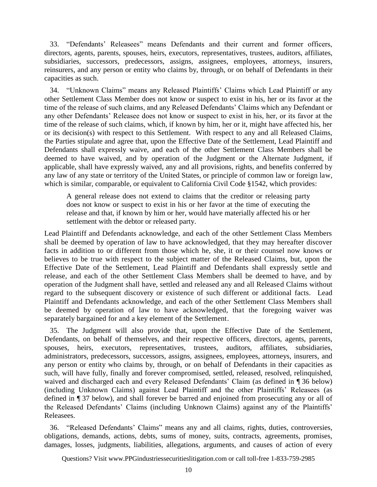33. "Defendants' Releasees" means Defendants and their current and former officers, directors, agents, parents, spouses, heirs, executors, representatives, trustees, auditors, affiliates, subsidiaries, successors, predecessors, assigns, assignees, employees, attorneys, insurers, reinsurers, and any person or entity who claims by, through, or on behalf of Defendants in their capacities as such.

34. "Unknown Claims" means any Released Plaintiffs' Claims which Lead Plaintiff or any other Settlement Class Member does not know or suspect to exist in his, her or its favor at the time of the release of such claims, and any Released Defendants' Claims which any Defendant or any other Defendants' Releasee does not know or suspect to exist in his, her, or its favor at the time of the release of such claims, which, if known by him, her or it, might have affected his, her or its decision(s) with respect to this Settlement. With respect to any and all Released Claims, the Parties stipulate and agree that, upon the Effective Date of the Settlement, Lead Plaintiff and Defendants shall expressly waive, and each of the other Settlement Class Members shall be deemed to have waived, and by operation of the Judgment or the Alternate Judgment, if applicable, shall have expressly waived, any and all provisions, rights, and benefits conferred by any law of any state or territory of the United States, or principle of common law or foreign law, which is similar, comparable, or equivalent to California Civil Code §1542, which provides:

A general release does not extend to claims that the creditor or releasing party does not know or suspect to exist in his or her favor at the time of executing the release and that, if known by him or her, would have materially affected his or her settlement with the debtor or released party.

Lead Plaintiff and Defendants acknowledge, and each of the other Settlement Class Members shall be deemed by operation of law to have acknowledged, that they may hereafter discover facts in addition to or different from those which he, she, it or their counsel now knows or believes to be true with respect to the subject matter of the Released Claims, but, upon the Effective Date of the Settlement, Lead Plaintiff and Defendants shall expressly settle and release, and each of the other Settlement Class Members shall be deemed to have, and by operation of the Judgment shall have, settled and released any and all Released Claims without regard to the subsequent discovery or existence of such different or additional facts. Lead Plaintiff and Defendants acknowledge, and each of the other Settlement Class Members shall be deemed by operation of law to have acknowledged, that the foregoing waiver was separately bargained for and a key element of the Settlement.

35. The Judgment will also provide that, upon the Effective Date of the Settlement, Defendants, on behalf of themselves, and their respective officers, directors, agents, parents, spouses, heirs, executors, representatives, trustees, auditors, affiliates, subsidiaries, administrators, predecessors, successors, assigns, assignees, employees, attorneys, insurers, and any person or entity who claims by, through, or on behalf of Defendants in their capacities as such, will have fully, finally and forever compromised, settled, released, resolved, relinquished, waived and discharged each and every Released Defendants' Claim (as defined in ¶ [36](#page-9-0) below) (including Unknown Claims) against Lead Plaintiff and the other Plaintiffs' Releasees (as defined in ¶ [37](#page-10-0) below), and shall forever be barred and enjoined from prosecuting any or all of the Released Defendants' Claims (including Unknown Claims) against any of the Plaintiffs' Releasees.

<span id="page-9-0"></span>36. "Released Defendants' Claims" means any and all claims, rights, duties, controversies, obligations, demands, actions, debts, sums of money, suits, contracts, agreements, promises, damages, losses, judgments, liabilities, allegations, arguments, and causes of action of every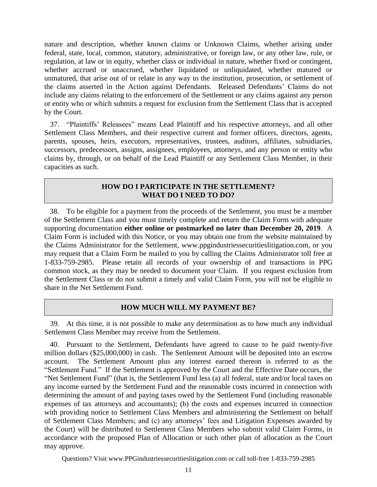nature and description, whether known claims or Unknown Claims, whether arising under federal, state, local, common, statutory, administrative, or foreign law, or any other law, rule, or regulation, at law or in equity, whether class or individual in nature, whether fixed or contingent, whether accrued or unaccrued, whether liquidated or unliquidated, whether matured or unmatured, that arise out of or relate in any way to the institution, prosecution, or settlement of the claims asserted in the Action against Defendants. Released Defendants' Claims do not include any claims relating to the enforcement of the Settlement or any claims against any person or entity who or which submits a request for exclusion from the Settlement Class that is accepted by the Court.

<span id="page-10-0"></span>37. "Plaintiffs' Releasees" means Lead Plaintiff and his respective attorneys, and all other Settlement Class Members, and their respective current and former officers, directors, agents, parents, spouses, heirs, executors, representatives, trustees, auditors, affiliates, subsidiaries, successors, predecessors, assigns, assignees, employees, attorneys, and any person or entity who claims by, through, or on behalf of the Lead Plaintiff or any Settlement Class Member, in their capacities as such.

#### **HOW DO I PARTICIPATE IN THE SETTLEMENT? WHAT DO I NEED TO DO?**

38. To be eligible for a payment from the proceeds of the Settlement, you must be a member of the Settlement Class and you must timely complete and return the Claim Form with adequate supporting documentation **either online or postmarked no later than December 20, 2019**. A Claim Form is included with this Notice, or you may obtain one from the website maintained by the Claims Administrator for the Settlement, www.ppgindustriessecuritieslitigation.com, or you may request that a Claim Form be mailed to you by calling the Claims Administrator toll free at 1-833-759-2985. Please retain all records of your ownership of and transactions in PPG common stock, as they may be needed to document your Claim. If you request exclusion from the Settlement Class or do not submit a timely and valid Claim Form, you will not be eligible to share in the Net Settlement Fund.

# **HOW MUCH WILL MY PAYMENT BE?**

39. At this time, it is not possible to make any determination as to how much any individual Settlement Class Member may receive from the Settlement.

40. Pursuant to the Settlement, Defendants have agreed to cause to be paid twenty-five million dollars (\$25,000,000) in cash. The Settlement Amount will be deposited into an escrow account. The Settlement Amount plus any interest earned thereon is referred to as the "Settlement Fund." If the Settlement is approved by the Court and the Effective Date occurs, the "Net Settlement Fund" (that is, the Settlement Fund less (a) all federal, state and/or local taxes on any income earned by the Settlement Fund and the reasonable costs incurred in connection with determining the amount of and paying taxes owed by the Settlement Fund (including reasonable expenses of tax attorneys and accountants); (b) the costs and expenses incurred in connection with providing notice to Settlement Class Members and administering the Settlement on behalf of Settlement Class Members; and (c) any attorneys' fees and Litigation Expenses awarded by the Court) will be distributed to Settlement Class Members who submit valid Claim Forms, in accordance with the proposed Plan of Allocation or such other plan of allocation as the Court may approve.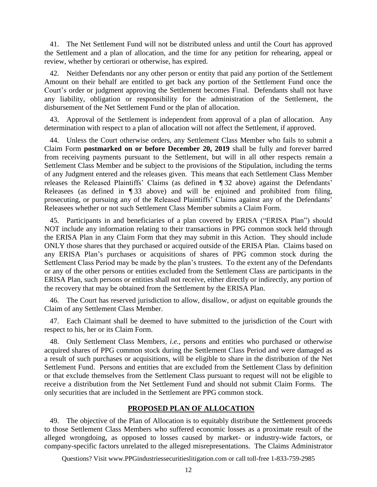41. The Net Settlement Fund will not be distributed unless and until the Court has approved the Settlement and a plan of allocation, and the time for any petition for rehearing, appeal or review, whether by certiorari or otherwise, has expired.

42. Neither Defendants nor any other person or entity that paid any portion of the Settlement Amount on their behalf are entitled to get back any portion of the Settlement Fund once the Court's order or judgment approving the Settlement becomes Final. Defendants shall not have any liability, obligation or responsibility for the administration of the Settlement, the disbursement of the Net Settlement Fund or the plan of allocation.

43. Approval of the Settlement is independent from approval of a plan of allocation. Any determination with respect to a plan of allocation will not affect the Settlement, if approved.

44. Unless the Court otherwise orders, any Settlement Class Member who fails to submit a Claim Form **postmarked on or before December 20, 2019** shall be fully and forever barred from receiving payments pursuant to the Settlement, but will in all other respects remain a Settlement Class Member and be subject to the provisions of the Stipulation, including the terms of any Judgment entered and the releases given. This means that each Settlement Class Member releases the Released Plaintiffs' Claims (as defined in ¶ [32](#page-8-0) above) against the Defendants' Releasees (as defined in ¶ [33](#page-8-1) above) and will be enjoined and prohibited from filing, prosecuting, or pursuing any of the Released Plaintiffs' Claims against any of the Defendants' Releasees whether or not such Settlement Class Member submits a Claim Form.

45. Participants in and beneficiaries of a plan covered by ERISA ("ERISA Plan") should NOT include any information relating to their transactions in PPG common stock held through the ERISA Plan in any Claim Form that they may submit in this Action. They should include ONLY those shares that they purchased or acquired outside of the ERISA Plan. Claims based on any ERISA Plan's purchases or acquisitions of shares of PPG common stock during the Settlement Class Period may be made by the plan's trustees. To the extent any of the Defendants or any of the other persons or entities excluded from the Settlement Class are participants in the ERISA Plan, such persons or entities shall not receive, either directly or indirectly, any portion of the recovery that may be obtained from the Settlement by the ERISA Plan.

46. The Court has reserved jurisdiction to allow, disallow, or adjust on equitable grounds the Claim of any Settlement Class Member.

47. Each Claimant shall be deemed to have submitted to the jurisdiction of the Court with respect to his, her or its Claim Form.

48. Only Settlement Class Members, *i.e.*, persons and entities who purchased or otherwise acquired shares of PPG common stock during the Settlement Class Period and were damaged as a result of such purchases or acquisitions, will be eligible to share in the distribution of the Net Settlement Fund. Persons and entities that are excluded from the Settlement Class by definition or that exclude themselves from the Settlement Class pursuant to request will not be eligible to receive a distribution from the Net Settlement Fund and should not submit Claim Forms. The only securities that are included in the Settlement are PPG common stock.

#### **PROPOSED PLAN OF ALLOCATION**

49. The objective of the Plan of Allocation is to equitably distribute the Settlement proceeds to those Settlement Class Members who suffered economic losses as a proximate result of the alleged wrongdoing, as opposed to losses caused by market- or industry-wide factors, or company-specific factors unrelated to the alleged misrepresentations. The Claims Administrator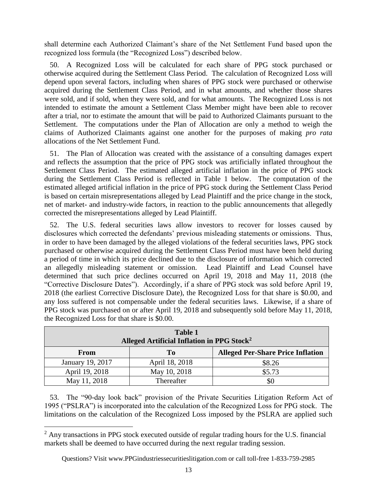shall determine each Authorized Claimant's share of the Net Settlement Fund based upon the recognized loss formula (the "Recognized Loss") described below.

50. A Recognized Loss will be calculated for each share of PPG stock purchased or otherwise acquired during the Settlement Class Period. The calculation of Recognized Loss will depend upon several factors, including when shares of PPG stock were purchased or otherwise acquired during the Settlement Class Period, and in what amounts, and whether those shares were sold, and if sold, when they were sold, and for what amounts. The Recognized Loss is not intended to estimate the amount a Settlement Class Member might have been able to recover after a trial, nor to estimate the amount that will be paid to Authorized Claimants pursuant to the Settlement. The computations under the Plan of Allocation are only a method to weigh the claims of Authorized Claimants against one another for the purposes of making *pro rata* allocations of the Net Settlement Fund.

51. The Plan of Allocation was created with the assistance of a consulting damages expert and reflects the assumption that the price of PPG stock was artificially inflated throughout the Settlement Class Period. The estimated alleged artificial inflation in the price of PPG stock during the Settlement Class Period is reflected in Table 1 below. The computation of the estimated alleged artificial inflation in the price of PPG stock during the Settlement Class Period is based on certain misrepresentations alleged by Lead Plaintiff and the price change in the stock, net of market- and industry-wide factors, in reaction to the public announcements that allegedly corrected the misrepresentations alleged by Lead Plaintiff.

52. The U.S. federal securities laws allow investors to recover for losses caused by disclosures which corrected the defendants' previous misleading statements or omissions. Thus, in order to have been damaged by the alleged violations of the federal securities laws, PPG stock purchased or otherwise acquired during the Settlement Class Period must have been held during a period of time in which its price declined due to the disclosure of information which corrected an allegedly misleading statement or omission. Lead Plaintiff and Lead Counsel have determined that such price declines occurred on April 19, 2018 and May 11, 2018 (the "Corrective Disclosure Dates"). Accordingly, if a share of PPG stock was sold before April 19, 2018 (the earliest Corrective Disclosure Date), the Recognized Loss for that share is \$0.00, and any loss suffered is not compensable under the federal securities laws. Likewise, if a share of PPG stock was purchased on or after April 19, 2018 and subsequently sold before May 11, 2018, the Recognized Loss for that share is \$0.00.

| <b>Table 1</b><br>Alleged Artificial Inflation in PPG Stock <sup>2</sup> |                |                                          |  |  |
|--------------------------------------------------------------------------|----------------|------------------------------------------|--|--|
| From                                                                     | T <sub>0</sub> | <b>Alleged Per-Share Price Inflation</b> |  |  |
| January 19, 2017                                                         | April 18, 2018 | \$8.26                                   |  |  |
| April 19, 2018                                                           | May 10, 2018   | \$5.73                                   |  |  |
| May 11, 2018                                                             | Thereafter     |                                          |  |  |

53. The "90-day look back" provision of the Private Securities Litigation Reform Act of 1995 ("PSLRA") is incorporated into the calculation of the Recognized Loss for PPG stock. The limitations on the calculation of the Recognized Loss imposed by the PSLRA are applied such

 $\overline{a}$ 

 $2$  Any transactions in PPG stock executed outside of regular trading hours for the U.S. financial markets shall be deemed to have occurred during the next regular trading session.

Questions? Visit www.PPGindustriessecuritieslitigation.com or call toll-free 1-833-759-2985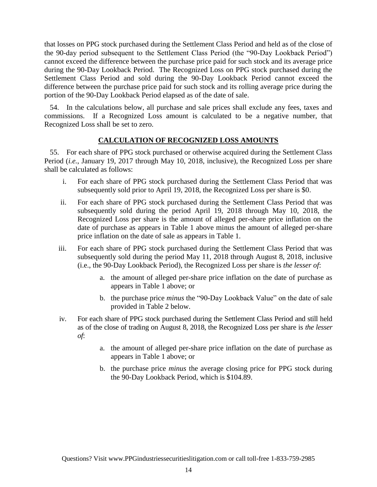that losses on PPG stock purchased during the Settlement Class Period and held as of the close of the 90-day period subsequent to the Settlement Class Period (the "90-Day Lookback Period") cannot exceed the difference between the purchase price paid for such stock and its average price during the 90-Day Lookback Period. The Recognized Loss on PPG stock purchased during the Settlement Class Period and sold during the 90-Day Lookback Period cannot exceed the difference between the purchase price paid for such stock and its rolling average price during the portion of the 90-Day Lookback Period elapsed as of the date of sale.

54. In the calculations below, all purchase and sale prices shall exclude any fees, taxes and commissions. If a Recognized Loss amount is calculated to be a negative number, that Recognized Loss shall be set to zero.

# **CALCULATION OF RECOGNIZED LOSS AMOUNTS**

55. For each share of PPG stock purchased or otherwise acquired during the Settlement Class Period (*i.e.*, January 19, 2017 through May 10, 2018, inclusive), the Recognized Loss per share shall be calculated as follows:

- i. For each share of PPG stock purchased during the Settlement Class Period that was subsequently sold prior to April 19, 2018, the Recognized Loss per share is \$0.
- ii. For each share of PPG stock purchased during the Settlement Class Period that was subsequently sold during the period April 19, 2018 through May 10, 2018, the Recognized Loss per share is the amount of alleged per-share price inflation on the date of purchase as appears in Table 1 above minus the amount of alleged per-share price inflation on the date of sale as appears in Table 1.
- iii. For each share of PPG stock purchased during the Settlement Class Period that was subsequently sold during the period May 11, 2018 through August 8, 2018, inclusive (i.e., the 90-Day Lookback Period), the Recognized Loss per share is *the lesser of*:
	- a. the amount of alleged per-share price inflation on the date of purchase as appears in Table 1 above; or
	- b. the purchase price *minus* the "90-Day Lookback Value" on the date of sale provided in Table 2 below.
- iv. For each share of PPG stock purchased during the Settlement Class Period and still held as of the close of trading on August 8, 2018, the Recognized Loss per share is *the lesser of*:
	- a. the amount of alleged per-share price inflation on the date of purchase as appears in Table 1 above; or
	- b. the purchase price *minus* the average closing price for PPG stock during the 90-Day Lookback Period, which is \$104.89.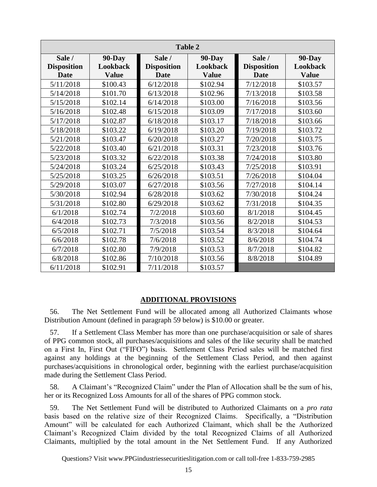| <b>Table 2</b>     |               |                    |               |                    |               |  |
|--------------------|---------------|--------------------|---------------|--------------------|---------------|--|
| Sale /             | <b>90-Day</b> | Sale /             | <b>90-Day</b> | Sale /             | <b>90-Day</b> |  |
| <b>Disposition</b> | Lookback      | <b>Disposition</b> | Lookback      | <b>Disposition</b> | Lookback      |  |
| <b>Date</b>        | <b>Value</b>  | <b>Date</b>        | <b>Value</b>  | <b>Date</b>        | <b>Value</b>  |  |
| 5/11/2018          | \$100.43      | 6/12/2018          | \$102.94      | 7/12/2018          | \$103.57      |  |
| 5/14/2018          | \$101.70      | 6/13/2018          | \$102.96      | 7/13/2018          | \$103.58      |  |
| 5/15/2018          | \$102.14      | 6/14/2018          | \$103.00      | 7/16/2018          | \$103.56      |  |
| 5/16/2018          | \$102.48      | 6/15/2018          | \$103.09      | 7/17/2018          | \$103.60      |  |
| 5/17/2018          | \$102.87      | 6/18/2018          | \$103.17      | 7/18/2018          | \$103.66      |  |
| 5/18/2018          | \$103.22      | 6/19/2018          | \$103.20      | 7/19/2018          | \$103.72      |  |
| 5/21/2018          | \$103.47      | 6/20/2018          | \$103.27      | 7/20/2018          | \$103.75      |  |
| 5/22/2018          | \$103.40      | 6/21/2018          | \$103.31      | 7/23/2018          | \$103.76      |  |
| 5/23/2018          | \$103.32      | 6/22/2018          | \$103.38      | 7/24/2018          | \$103.80      |  |
| 5/24/2018          | \$103.24      | 6/25/2018          | \$103.43      | 7/25/2018          | \$103.91      |  |
| 5/25/2018          | \$103.25      | 6/26/2018          | \$103.51      | 7/26/2018          | \$104.04      |  |
| 5/29/2018          | \$103.07      | 6/27/2018          | \$103.56      | 7/27/2018          | \$104.14      |  |
| 5/30/2018          | \$102.94      | 6/28/2018          | \$103.62      | 7/30/2018          | \$104.24      |  |
| 5/31/2018          | \$102.80      | 6/29/2018          | \$103.62      | 7/31/2018          | \$104.35      |  |
| 6/1/2018           | \$102.74      | 7/2/2018           | \$103.60      | 8/1/2018           | \$104.45      |  |
| 6/4/2018           | \$102.73      | 7/3/2018           | \$103.56      | 8/2/2018           | \$104.53      |  |
| 6/5/2018           | \$102.71      | 7/5/2018           | \$103.54      | 8/3/2018           | \$104.64      |  |
| 6/6/2018           | \$102.78      | 7/6/2018           | \$103.52      | 8/6/2018           | \$104.74      |  |
| 6/7/2018           | \$102.80      | 7/9/2018           | \$103.53      | 8/7/2018           | \$104.82      |  |
| 6/8/2018           | \$102.86      | 7/10/2018          | \$103.56      | 8/8/2018           | \$104.89      |  |
| 6/11/2018          | \$102.91      | 7/11/2018          | \$103.57      |                    |               |  |

#### **ADDITIONAL PROVISIONS**

56. The Net Settlement Fund will be allocated among all Authorized Claimants whose Distribution Amount (defined in paragraph [59](#page-14-0) below) is \$10.00 or greater.

57. If a Settlement Class Member has more than one purchase/acquisition or sale of shares of PPG common stock, all purchases/acquisitions and sales of the like security shall be matched on a First In, First Out ("FIFO") basis. Settlement Class Period sales will be matched first against any holdings at the beginning of the Settlement Class Period, and then against purchases/acquisitions in chronological order, beginning with the earliest purchase/acquisition made during the Settlement Class Period.

58. A Claimant's "Recognized Claim" under the Plan of Allocation shall be the sum of his, her or its Recognized Loss Amounts for all of the shares of PPG common stock.

<span id="page-14-0"></span>59. The Net Settlement Fund will be distributed to Authorized Claimants on a *pro rata*  basis based on the relative size of their Recognized Claims. Specifically, a "Distribution Amount" will be calculated for each Authorized Claimant, which shall be the Authorized Claimant's Recognized Claim divided by the total Recognized Claims of all Authorized Claimants, multiplied by the total amount in the Net Settlement Fund. If any Authorized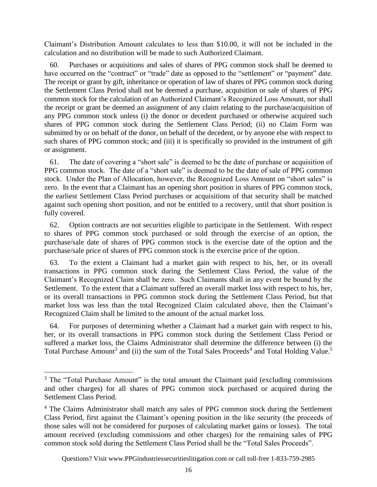Claimant's Distribution Amount calculates to less than \$10.00, it will not be included in the calculation and no distribution will be made to such Authorized Claimant.

60. Purchases or acquisitions and sales of shares of PPG common stock shall be deemed to have occurred on the "contract" or "trade" date as opposed to the "settlement" or "payment" date. The receipt or grant by gift, inheritance or operation of law of shares of PPG common stock during the Settlement Class Period shall not be deemed a purchase, acquisition or sale of shares of PPG common stock for the calculation of an Authorized Claimant's Recognized Loss Amount, nor shall the receipt or grant be deemed an assignment of any claim relating to the purchase/acquisition of any PPG common stock unless (i) the donor or decedent purchased or otherwise acquired such shares of PPG common stock during the Settlement Class Period; (ii) no Claim Form was submitted by or on behalf of the donor, on behalf of the decedent, or by anyone else with respect to such shares of PPG common stock; and (iii) it is specifically so provided in the instrument of gift or assignment.

61. The date of covering a "short sale" is deemed to be the date of purchase or acquisition of PPG common stock. The date of a "short sale" is deemed to be the date of sale of PPG common stock. Under the Plan of Allocation, however, the Recognized Loss Amount on "short sales" is zero. In the event that a Claimant has an opening short position in shares of PPG common stock, the earliest Settlement Class Period purchases or acquisitions of that security shall be matched against such opening short position, and not be entitled to a recovery, until that short position is fully covered.

62. Option contracts are not securities eligible to participate in the Settlement. With respect to shares of PPG common stock purchased or sold through the exercise of an option, the purchase/sale date of shares of PPG common stock is the exercise date of the option and the purchase/sale price of shares of PPG common stock is the exercise price of the option.

63. To the extent a Claimant had a market gain with respect to his, her, or its overall transactions in PPG common stock during the Settlement Class Period, the value of the Claimant's Recognized Claim shall be zero. Such Claimants shall in any event be bound by the Settlement. To the extent that a Claimant suffered an overall market loss with respect to his, her, or its overall transactions in PPG common stock during the Settlement Class Period, but that market loss was less than the total Recognized Claim calculated above, then the Claimant's Recognized Claim shall be limited to the amount of the actual market loss.

64. For purposes of determining whether a Claimant had a market gain with respect to his, her, or its overall transactions in PPG common stock during the Settlement Class Period or suffered a market loss, the Claims Administrator shall determine the difference between (i) the Total Purchase Amount<sup>3</sup> and (ii) the sum of the Total Sales Proceeds<sup>4</sup> and Total Holding Value.<sup>5</sup>

 $\overline{a}$ 

<sup>&</sup>lt;sup>3</sup> The "Total Purchase Amount" is the total amount the Claimant paid (excluding commissions and other charges) for all shares of PPG common stock purchased or acquired during the Settlement Class Period.

<sup>&</sup>lt;sup>4</sup> The Claims Administrator shall match any sales of PPG common stock during the Settlement Class Period, first against the Claimant's opening position in the like security (the proceeds of those sales will not be considered for purposes of calculating market gains or losses). The total amount received (excluding commissions and other charges) for the remaining sales of PPG common stock sold during the Settlement Class Period shall be the "Total Sales Proceeds".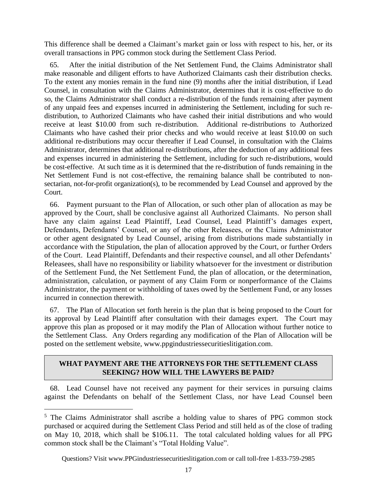This difference shall be deemed a Claimant's market gain or loss with respect to his, her, or its overall transactions in PPG common stock during the Settlement Class Period.

65. After the initial distribution of the Net Settlement Fund, the Claims Administrator shall make reasonable and diligent efforts to have Authorized Claimants cash their distribution checks. To the extent any monies remain in the fund nine (9) months after the initial distribution, if Lead Counsel, in consultation with the Claims Administrator, determines that it is cost-effective to do so, the Claims Administrator shall conduct a re-distribution of the funds remaining after payment of any unpaid fees and expenses incurred in administering the Settlement, including for such redistribution, to Authorized Claimants who have cashed their initial distributions and who would receive at least \$10.00 from such re-distribution. Additional re-distributions to Authorized Claimants who have cashed their prior checks and who would receive at least \$10.00 on such additional re-distributions may occur thereafter if Lead Counsel, in consultation with the Claims Administrator, determines that additional re-distributions, after the deduction of any additional fees and expenses incurred in administering the Settlement, including for such re-distributions, would be cost-effective. At such time as it is determined that the re-distribution of funds remaining in the Net Settlement Fund is not cost-effective, the remaining balance shall be contributed to nonsectarian, not-for-profit organization(s), to be recommended by Lead Counsel and approved by the Court.

66. Payment pursuant to the Plan of Allocation, or such other plan of allocation as may be approved by the Court, shall be conclusive against all Authorized Claimants. No person shall have any claim against Lead Plaintiff, Lead Counsel, Lead Plaintiff's damages expert, Defendants, Defendants' Counsel, or any of the other Releasees, or the Claims Administrator or other agent designated by Lead Counsel, arising from distributions made substantially in accordance with the Stipulation, the plan of allocation approved by the Court, or further Orders of the Court. Lead Plaintiff, Defendants and their respective counsel, and all other Defendants' Releasees, shall have no responsibility or liability whatsoever for the investment or distribution of the Settlement Fund, the Net Settlement Fund, the plan of allocation, or the determination, administration, calculation, or payment of any Claim Form or nonperformance of the Claims Administrator, the payment or withholding of taxes owed by the Settlement Fund, or any losses incurred in connection therewith.

67. The Plan of Allocation set forth herein is the plan that is being proposed to the Court for its approval by Lead Plaintiff after consultation with their damages expert. The Court may approve this plan as proposed or it may modify the Plan of Allocation without further notice to the Settlement Class. Any Orders regarding any modification of the Plan of Allocation will be posted on the settlement website, www.ppgindustriessecuritieslitigation.com.

# **WHAT PAYMENT ARE THE ATTORNEYS FOR THE SETTLEMENT CLASS SEEKING? HOW WILL THE LAWYERS BE PAID?**

68. Lead Counsel have not received any payment for their services in pursuing claims against the Defendants on behalf of the Settlement Class, nor have Lead Counsel been

i<br>L

<sup>&</sup>lt;sup>5</sup> The Claims Administrator shall ascribe a holding value to shares of PPG common stock purchased or acquired during the Settlement Class Period and still held as of the close of trading on May 10, 2018, which shall be \$106.11. The total calculated holding values for all PPG common stock shall be the Claimant's "Total Holding Value".

Questions? Visit www.PPGindustriessecuritieslitigation.com or call toll-free 1-833-759-2985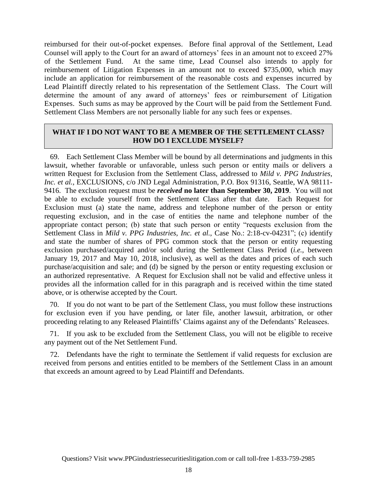reimbursed for their out-of-pocket expenses. Before final approval of the Settlement, Lead Counsel will apply to the Court for an award of attorneys' fees in an amount not to exceed 27% of the Settlement Fund. At the same time, Lead Counsel also intends to apply for reimbursement of Litigation Expenses in an amount not to exceed \$735,000, which may include an application for reimbursement of the reasonable costs and expenses incurred by Lead Plaintiff directly related to his representation of the Settlement Class. The Court will determine the amount of any award of attorneys' fees or reimbursement of Litigation Expenses. Such sums as may be approved by the Court will be paid from the Settlement Fund. Settlement Class Members are not personally liable for any such fees or expenses.

### **WHAT IF I DO NOT WANT TO BE A MEMBER OF THE SETTLEMENT CLASS? HOW DO I EXCLUDE MYSELF?**

69. Each Settlement Class Member will be bound by all determinations and judgments in this lawsuit, whether favorable or unfavorable, unless such person or entity mails or delivers a written Request for Exclusion from the Settlement Class, addressed to *Mild v. PPG Industries, Inc. et al.*, EXCLUSIONS, c/o JND Legal Administration, P.O. Box 91316, Seattle, WA 98111- 9416. The exclusion request must be *received* **no later than September 30, 2019**. You will not be able to exclude yourself from the Settlement Class after that date. Each Request for Exclusion must (a) state the name, address and telephone number of the person or entity requesting exclusion, and in the case of entities the name and telephone number of the appropriate contact person; (b) state that such person or entity "requests exclusion from the Settlement Class in *Mild v. PPG Industries, Inc. et al.*, Case No.: 2:18-cv-04231"; (c) identify and state the number of shares of PPG common stock that the person or entity requesting exclusion purchased/acquired and/or sold during the Settlement Class Period (*i.e.*, between January 19, 2017 and May 10, 2018, inclusive), as well as the dates and prices of each such purchase/acquisition and sale; and (d) be signed by the person or entity requesting exclusion or an authorized representative. A Request for Exclusion shall not be valid and effective unless it provides all the information called for in this paragraph and is received within the time stated above, or is otherwise accepted by the Court.

70. If you do not want to be part of the Settlement Class, you must follow these instructions for exclusion even if you have pending, or later file, another lawsuit, arbitration, or other proceeding relating to any Released Plaintiffs' Claims against any of the Defendants' Releasees.

71. If you ask to be excluded from the Settlement Class, you will not be eligible to receive any payment out of the Net Settlement Fund.

72. Defendants have the right to terminate the Settlement if valid requests for exclusion are received from persons and entities entitled to be members of the Settlement Class in an amount that exceeds an amount agreed to by Lead Plaintiff and Defendants.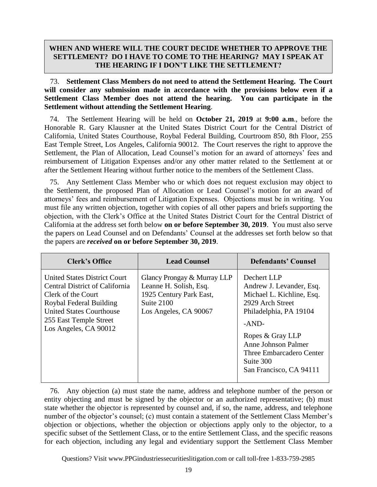# **WHEN AND WHERE WILL THE COURT DECIDE WHETHER TO APPROVE THE SETTLEMENT? DO I HAVE TO COME TO THE HEARING? MAY I SPEAK AT THE HEARING IF I DON'T LIKE THE SETTLEMENT?**

73. **Settlement Class Members do not need to attend the Settlement Hearing. The Court will consider any submission made in accordance with the provisions below even if a Settlement Class Member does not attend the hearing. You can participate in the Settlement without attending the Settlement Hearing**.

<span id="page-18-0"></span>74. The Settlement Hearing will be held on **October 21, 2019** at **9:00 a.m**., before the Honorable R. Gary Klausner at the United States District Court for the Central District of California, United States Courthouse, Roybal Federal Building, Courtroom 850, 8th Floor, 255 East Temple Street, Los Angeles, California 90012. The Court reserves the right to approve the Settlement, the Plan of Allocation, Lead Counsel's motion for an award of attorneys' fees and reimbursement of Litigation Expenses and/or any other matter related to the Settlement at or after the Settlement Hearing without further notice to the members of the Settlement Class.

<span id="page-18-1"></span>75. Any Settlement Class Member who or which does not request exclusion may object to the Settlement, the proposed Plan of Allocation or Lead Counsel's motion for an award of attorneys' fees and reimbursement of Litigation Expenses. Objections must be in writing. You must file any written objection, together with copies of all other papers and briefs supporting the objection, with the Clerk's Office at the United States District Court for the Central District of California at the address set forth below **on or before September 30, 2019**. You must also serve the papers on Lead Counsel and on Defendants' Counsel at the addresses set forth below so that the papers are *received* **on or before September 30, 2019**.

| <b>Clerk's Office</b>                                                                                                                                                                                        | <b>Lead Counsel</b>                                                                                                     | <b>Defendants' Counsel</b>                                                                                                                                                                                                                          |
|--------------------------------------------------------------------------------------------------------------------------------------------------------------------------------------------------------------|-------------------------------------------------------------------------------------------------------------------------|-----------------------------------------------------------------------------------------------------------------------------------------------------------------------------------------------------------------------------------------------------|
| <b>United States District Court</b><br>Central District of California<br>Clerk of the Court<br>Roybal Federal Building<br><b>United States Courthouse</b><br>255 East Temple Street<br>Los Angeles, CA 90012 | Glancy Prongay & Murray LLP<br>Leanne H. Solish, Esq.<br>1925 Century Park East,<br>Suite 2100<br>Los Angeles, CA 90067 | Dechert LLP<br>Andrew J. Levander, Esq.<br>Michael L. Kichline, Esq.<br>2929 Arch Street<br>Philadelphia, PA 19104<br>$-AND-$<br>Ropes & Gray LLP<br><b>Anne Johnson Palmer</b><br>Three Embarcadero Center<br>Suite 300<br>San Francisco, CA 94111 |

76. Any objection (a) must state the name, address and telephone number of the person or entity objecting and must be signed by the objector or an authorized representative; (b) must state whether the objector is represented by counsel and, if so, the name, address, and telephone number of the objector's counsel; (c) must contain a statement of the Settlement Class Member's objection or objections, whether the objection or objections apply only to the objector, to a specific subset of the Settlement Class, or to the entire Settlement Class, and the specific reasons for each objection, including any legal and evidentiary support the Settlement Class Member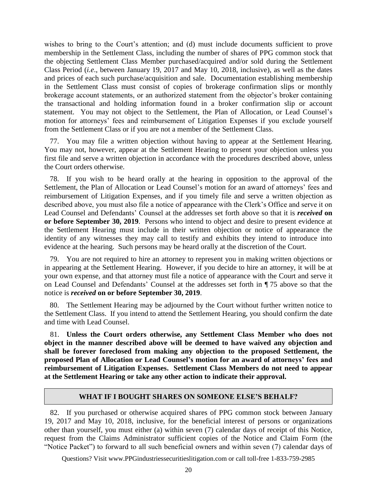wishes to bring to the Court's attention; and (d) must include documents sufficient to prove membership in the Settlement Class, including the number of shares of PPG common stock that the objecting Settlement Class Member purchased/acquired and/or sold during the Settlement Class Period (*i.e*., between January 19, 2017 and May 10, 2018, inclusive), as well as the dates and prices of each such purchase/acquisition and sale. Documentation establishing membership in the Settlement Class must consist of copies of brokerage confirmation slips or monthly brokerage account statements, or an authorized statement from the objector's broker containing the transactional and holding information found in a broker confirmation slip or account statement. You may not object to the Settlement, the Plan of Allocation, or Lead Counsel's motion for attorneys' fees and reimbursement of Litigation Expenses if you exclude yourself from the Settlement Class or if you are not a member of the Settlement Class.

77. You may file a written objection without having to appear at the Settlement Hearing. You may not, however, appear at the Settlement Hearing to present your objection unless you first file and serve a written objection in accordance with the procedures described above, unless the Court orders otherwise.

78. If you wish to be heard orally at the hearing in opposition to the approval of the Settlement, the Plan of Allocation or Lead Counsel's motion for an award of attorneys' fees and reimbursement of Litigation Expenses, and if you timely file and serve a written objection as described above, you must also file a notice of appearance with the Clerk's Office and serve it on Lead Counsel and Defendants' Counsel at the addresses set forth above so that it is *received* **on or before September 30, 2019**. Persons who intend to object and desire to present evidence at the Settlement Hearing must include in their written objection or notice of appearance the identity of any witnesses they may call to testify and exhibits they intend to introduce into evidence at the hearing. Such persons may be heard orally at the discretion of the Court.

79. You are not required to hire an attorney to represent you in making written objections or in appearing at the Settlement Hearing. However, if you decide to hire an attorney, it will be at your own expense, and that attorney must file a notice of appearance with the Court and serve it on Lead Counsel and Defendants' Counsel at the addresses set forth in ¶ [75](#page-18-1) above so that the notice is *received* **on or before September 30, 2019**.

80. The Settlement Hearing may be adjourned by the Court without further written notice to the Settlement Class. If you intend to attend the Settlement Hearing, you should confirm the date and time with Lead Counsel.

81. **Unless the Court orders otherwise, any Settlement Class Member who does not object in the manner described above will be deemed to have waived any objection and shall be forever foreclosed from making any objection to the proposed Settlement, the proposed Plan of Allocation or Lead Counsel's motion for an award of attorneys' fees and reimbursement of Litigation Expenses. Settlement Class Members do not need to appear at the Settlement Hearing or take any other action to indicate their approval.**

#### **WHAT IF I BOUGHT SHARES ON SOMEONE ELSE'S BEHALF?**

82. If you purchased or otherwise acquired shares of PPG common stock between January 19, 2017 and May 10, 2018, inclusive, for the beneficial interest of persons or organizations other than yourself, you must either (a) within seven (7) calendar days of receipt of this Notice, request from the Claims Administrator sufficient copies of the Notice and Claim Form (the "Notice Packet") to forward to all such beneficial owners and within seven (7) calendar days of